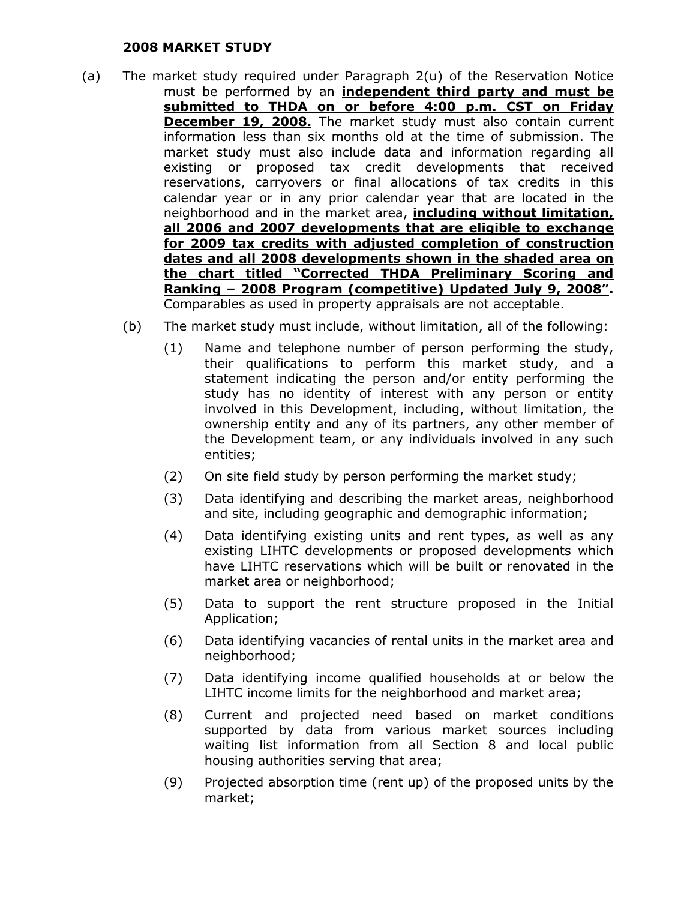## **2008 MARKET STUDY**

- (a) The market study required under Paragraph 2(u) of the Reservation Notice must be performed by an **independent third party and must be submitted to THDA on or before 4:00 p.m. CST on Friday December 19, 2008.** The market study must also contain current information less than six months old at the time of submission. The market study must also include data and information regarding all existing or proposed tax credit developments that received reservations, carryovers or final allocations of tax credits in this calendar year or in any prior calendar year that are located in the neighborhood and in the market area, **including without limitation, all 2006 and 2007 developments that are eligible to exchange for 2009 tax credits with adjusted completion of construction dates and all 2008 developments shown in the shaded area on the chart titled "Corrected THDA Preliminary Scoring and Ranking – 2008 Program (competitive) Updated July 9, 2008".** Comparables as used in property appraisals are not acceptable.
	- (b) The market study must include, without limitation, all of the following:
		- (1) Name and telephone number of person performing the study, their qualifications to perform this market study, and a statement indicating the person and/or entity performing the study has no identity of interest with any person or entity involved in this Development, including, without limitation, the ownership entity and any of its partners, any other member of the Development team, or any individuals involved in any such entities;
		- (2) On site field study by person performing the market study;
		- (3) Data identifying and describing the market areas, neighborhood and site, including geographic and demographic information;
		- (4) Data identifying existing units and rent types, as well as any existing LIHTC developments or proposed developments which have LIHTC reservations which will be built or renovated in the market area or neighborhood;
		- (5) Data to support the rent structure proposed in the Initial Application;
		- (6) Data identifying vacancies of rental units in the market area and neighborhood;
		- (7) Data identifying income qualified households at or below the LIHTC income limits for the neighborhood and market area;
		- (8) Current and projected need based on market conditions supported by data from various market sources including waiting list information from all Section 8 and local public housing authorities serving that area;
		- (9) Projected absorption time (rent up) of the proposed units by the market;